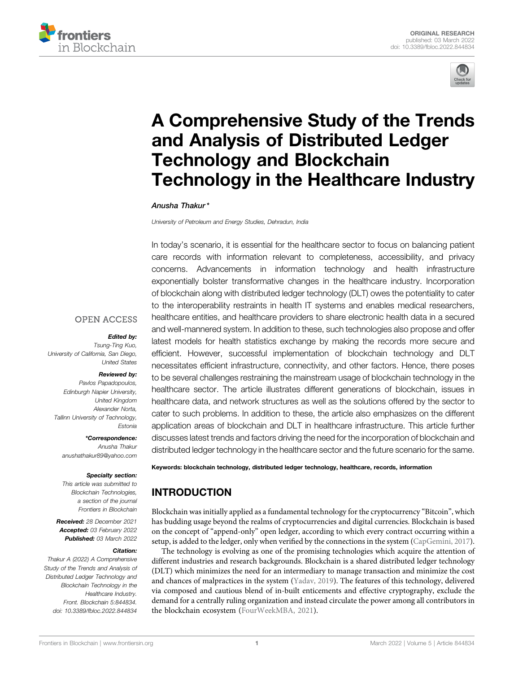



# [A Comprehensive Study of the Trends](https://www.frontiersin.org/articles/10.3389/fbloc.2022.844834/full) [and Analysis of Distributed Ledger](https://www.frontiersin.org/articles/10.3389/fbloc.2022.844834/full) [Technology and Blockchain](https://www.frontiersin.org/articles/10.3389/fbloc.2022.844834/full) [Technology in the Healthcare Industry](https://www.frontiersin.org/articles/10.3389/fbloc.2022.844834/full)

#### Anusha Thakur \*

University of Petroleum and Energy Studies, Dehradun, India

In today's scenario, it is essential for the healthcare sector to focus on balancing patient care records with information relevant to completeness, accessibility, and privacy concerns. Advancements in information technology and health infrastructure exponentially bolster transformative changes in the healthcare industry. Incorporation of blockchain along with distributed ledger technology (DLT) owes the potentiality to cater to the interoperability restraints in health IT systems and enables medical researchers, healthcare entities, and healthcare providers to share electronic health data in a secured and well-mannered system. In addition to these, such technologies also propose and offer latest models for health statistics exchange by making the records more secure and efficient. However, successful implementation of blockchain technology and DLT necessitates efficient infrastructure, connectivity, and other factors. Hence, there poses to be several challenges restraining the mainstream usage of blockchain technology in the healthcare sector. The article illustrates different generations of blockchain, issues in healthcare data, and network structures as well as the solutions offered by the sector to cater to such problems. In addition to these, the article also emphasizes on the different application areas of blockchain and DLT in healthcare infrastructure. This article further discusses latest trends and factors driving the need for the incorporation of blockchain and distributed ledger technology in the healthcare sector and the future scenario for the same.

#### **OPEN ACCESS**

#### Edited by:

Tsung-Ting Kuo, University of California, San Diego, United States

#### Reviewed by:

Pavlos Papadopoulos, Edinburgh Napier University, United Kingdom Alexander Norta, Tallinn University of Technology, Estonia

\*Correspondence: Anusha Thakur [anushathakur89@yahoo.com](mailto:anushathakur89@yahoo.com)

#### Specialty section:

This article was submitted to Blockchain Technologies, a section of the journal Frontiers in Blockchain

Received: 28 December 2021 Accepted: 03 February 2022 Published: 03 March 2022

#### Citation:

Thakur A (2022) A Comprehensive Study of the Trends and Analysis of Distributed Ledger Technology and Blockchain Technology in the Healthcare Industry. Front. Blockchain 5:844834. doi: [10.3389/fbloc.2022.844834](https://doi.org/10.3389/fbloc.2022.844834)

Keywords: blockchain technology, distributed ledger technology, healthcare, records, information

# INTRODUCTION

Blockchain was initially applied as a fundamental technology for the cryptocurrency "Bitcoin", which has budding usage beyond the realms of cryptocurrencies and digital currencies. Blockchain is based on the concept of "append-only" open ledger, according to which every contract occurring within a setup, is added to the ledger, only when verified by the connections in the system ([CapGemini, 2017\)](#page-6-0).

The technology is evolving as one of the promising technologies which acquire the attention of different industries and research backgrounds. Blockchain is a shared distributed ledger technology (DLT) which minimizes the need for an intermediary to manage transaction and minimize the cost and chances of malpractices in the system [\(Yadav, 2019](#page-7-0)). The features of this technology, delivered via composed and cautious blend of in-built enticements and effective cryptography, exclude the demand for a centrally ruling organization and instead circulate the power among all contributors in the blockchain ecosystem ([FourWeekMBA, 2021](#page-6-1)).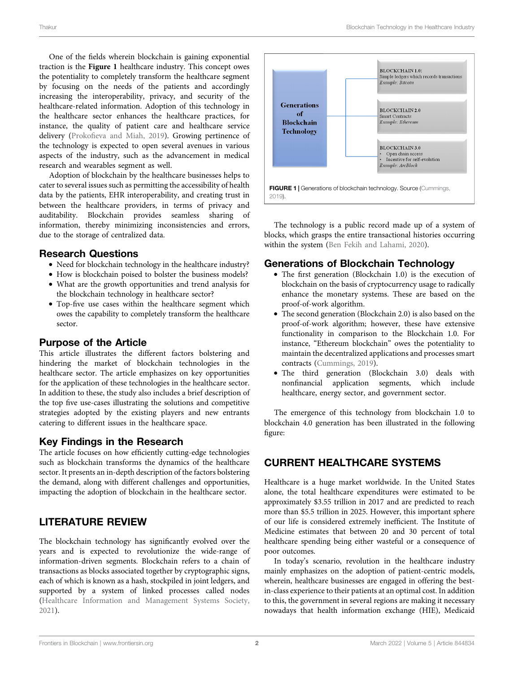One of the fields wherein blockchain is gaining exponential traction is the [Figure 1](#page-1-0) healthcare industry. This concept owes the potentiality to completely transform the healthcare segment by focusing on the needs of the patients and accordingly increasing the interoperability, privacy, and security of the healthcare-related information. Adoption of this technology in the healthcare sector enhances the healthcare practices, for instance, the quality of patient care and healthcare service delivery (Prokofi[eva and Miah, 2019](#page-7-1)). Growing pertinence of the technology is expected to open several avenues in various aspects of the industry, such as the advancement in medical research and wearables segment as well.

Adoption of blockchain by the healthcare businesses helps to cater to several issues such as permitting the accessibility of health data by the patients, EHR interoperability, and creating trust in between the healthcare providers, in terms of privacy and auditability. Blockchain provides seamless sharing of information, thereby minimizing inconsistencies and errors, due to the storage of centralized data.

#### Research Questions

- Need for blockchain technology in the healthcare industry?
- How is blockchain poised to bolster the business models?
- What are the growth opportunities and trend analysis for the blockchain technology in healthcare sector?
- Top-five use cases within the healthcare segment which owes the capability to completely transform the healthcare sector.

### Purpose of the Article

This article illustrates the different factors bolstering and hindering the market of blockchain technologies in the healthcare sector. The article emphasizes on key opportunities for the application of these technologies in the healthcare sector. In addition to these, the study also includes a brief description of the top five use-cases illustrating the solutions and competitive strategies adopted by the existing players and new entrants catering to different issues in the healthcare space.

# Key Findings in the Research

The article focuses on how efficiently cutting-edge technologies such as blockchain transforms the dynamics of the healthcare sector. It presents an in-depth description of the factors bolstering the demand, along with different challenges and opportunities, impacting the adoption of blockchain in the healthcare sector.

# LITERATURE REVIEW

The blockchain technology has significantly evolved over the years and is expected to revolutionize the wide-range of information-driven segments. Blockchain refers to a chain of transactions as blocks associated together by cryptographic signs, each of which is known as a hash, stockpiled in joint ledgers, and supported by a system of linked processes called nodes ([Healthcare Information and Management Systems Society,](#page-6-2) [2021](#page-6-2)).



<span id="page-1-0"></span>The technology is a public record made up of a system of blocks, which grasps the entire transactional histories occurring within the system ([Ben Fekih and Lahami, 2020\)](#page-6-3).

#### Generations of Blockchain Technology

- The first generation (Blockchain 1.0) is the execution of blockchain on the basis of cryptocurrency usage to radically enhance the monetary systems. These are based on the proof-of-work algorithm.
- The second generation (Blockchain 2.0) is also based on the proof-of-work algorithm; however, these have extensive functionality in comparison to the Blockchain 1.0. For instance, "Ethereum blockchain" owes the potentiality to maintain the decentralized applications and processes smart contracts [\(Cummings, 2019\)](#page-6-4).
- The third generation (Blockchain 3.0) deals with nonfinancial application segments, which include healthcare, energy sector, and government sector.

The emergence of this technology from blockchain 1.0 to blockchain 4.0 generation has been illustrated in the following figure:

# CURRENT HEALTHCARE SYSTEMS

Healthcare is a huge market worldwide. In the United States alone, the total healthcare expenditures were estimated to be approximately \$3.55 trillion in 2017 and are predicted to reach more than \$5.5 trillion in 2025. However, this important sphere of our life is considered extremely inefficient. The Institute of Medicine estimates that between 20 and 30 percent of total healthcare spending being either wasteful or a consequence of poor outcomes.

In today's scenario, revolution in the healthcare industry mainly emphasizes on the adoption of patient-centric models, wherein, healthcare businesses are engaged in offering the bestin-class experience to their patients at an optimal cost. In addition to this, the government in several regions are making it necessary nowadays that health information exchange (HIE), Medicaid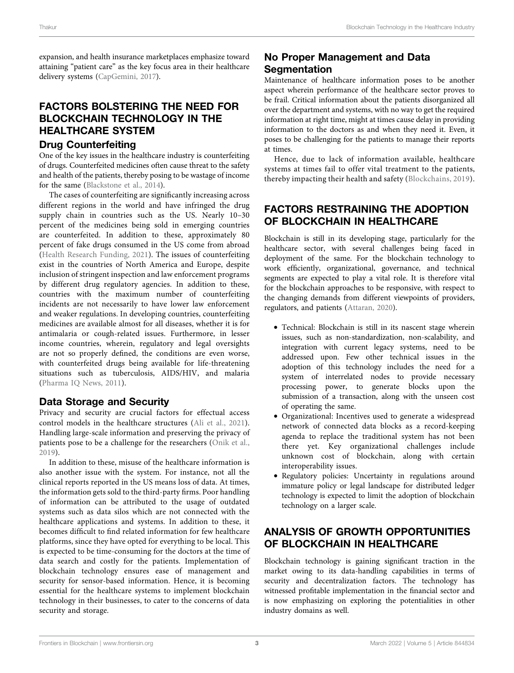expansion, and health insurance marketplaces emphasize toward attaining "patient care" as the key focus area in their healthcare delivery systems ([CapGemini, 2017\)](#page-6-0).

# FACTORS BOLSTERING THE NEED FOR BLOCKCHAIN TECHNOLOGY IN THE HEALTHCARE SYSTEM

# Drug Counterfeiting

One of the key issues in the healthcare industry is counterfeiting of drugs. Counterfeited medicines often cause threat to the safety and health of the patients, thereby posing to be wastage of income for the same [\(Blackstone et al., 2014\)](#page-6-5).

The cases of counterfeiting are significantly increasing across different regions in the world and have infringed the drug supply chain in countries such as the US. Nearly 10-30 percent of the medicines being sold in emerging countries are counterfeited. In addition to these, approximately 80 percent of fake drugs consumed in the US come from abroad ([Health Research Funding, 2021\)](#page-6-6). The issues of counterfeiting exist in the countries of North America and Europe, despite inclusion of stringent inspection and law enforcement programs by different drug regulatory agencies. In addition to these, countries with the maximum number of counterfeiting incidents are not necessarily to have lower law enforcement and weaker regulations. In developing countries, counterfeiting medicines are available almost for all diseases, whether it is for antimalaria or cough-related issues. Furthermore, in lesser income countries, wherein, regulatory and legal oversights are not so properly defined, the conditions are even worse, with counterfeited drugs being available for life-threatening situations such as tuberculosis, AIDS/HIV, and malaria ([Pharma IQ News, 2011\)](#page-7-2).

# Data Storage and Security

Privacy and security are crucial factors for effectual access control models in the healthcare structures [\(Ali et al., 2021\)](#page-6-7). Handling large-scale information and preserving the privacy of patients pose to be a challenge for the researchers ([Onik et al.,](#page-7-3) [2019\)](#page-7-3).

In addition to these, misuse of the healthcare information is also another issue with the system. For instance, not all the clinical reports reported in the US means loss of data. At times, the information gets sold to the third-party firms. Poor handling of information can be attributed to the usage of outdated systems such as data silos which are not connected with the healthcare applications and systems. In addition to these, it becomes difficult to find related information for few healthcare platforms, since they have opted for everything to be local. This is expected to be time-consuming for the doctors at the time of data search and costly for the patients. Implementation of blockchain technology ensures ease of management and security for sensor-based information. Hence, it is becoming essential for the healthcare systems to implement blockchain technology in their businesses, to cater to the concerns of data security and storage.

# No Proper Management and Data **Segmentation**

Maintenance of healthcare information poses to be another aspect wherein performance of the healthcare sector proves to be frail. Critical information about the patients disorganized all over the department and systems, with no way to get the required information at right time, might at times cause delay in providing information to the doctors as and when they need it. Even, it poses to be challenging for the patients to manage their reports at times.

Hence, due to lack of information available, healthcare systems at times fail to offer vital treatment to the patients, thereby impacting their health and safety ([Blockchains, 2019](#page-6-8)).

### FACTORS RESTRAINING THE ADOPTION OF BLOCKCHAIN IN HEALTHCARE

Blockchain is still in its developing stage, particularly for the healthcare sector, with several challenges being faced in deployment of the same. For the blockchain technology to work efficiently, organizational, governance, and technical segments are expected to play a vital role. It is therefore vital for the blockchain approaches to be responsive, with respect to the changing demands from different viewpoints of providers, regulators, and patients ([Attaran, 2020\)](#page-6-9).

- Technical: Blockchain is still in its nascent stage wherein issues, such as non-standardization, non-scalability, and integration with current legacy systems, need to be addressed upon. Few other technical issues in the adoption of this technology includes the need for a system of interrelated nodes to provide necessary processing power, to generate blocks upon the submission of a transaction, along with the unseen cost of operating the same.
- Organizational: Incentives used to generate a widespread network of connected data blocks as a record-keeping agenda to replace the traditional system has not been there yet. Key organizational challenges include unknown cost of blockchain, along with certain interoperability issues.
- Regulatory policies: Uncertainty in regulations around immature policy or legal landscape for distributed ledger technology is expected to limit the adoption of blockchain technology on a larger scale.

# ANALYSIS OF GROWTH OPPORTUNITIES OF BLOCKCHAIN IN HEALTHCARE

Blockchain technology is gaining significant traction in the market owing to its data-handling capabilities in terms of security and decentralization factors. The technology has witnessed profitable implementation in the financial sector and is now emphasizing on exploring the potentialities in other industry domains as well.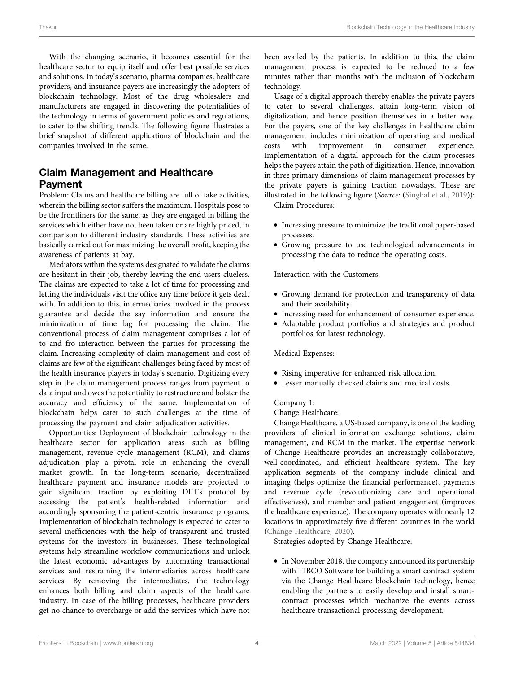With the changing scenario, it becomes essential for the healthcare sector to equip itself and offer best possible services and solutions. In today's scenario, pharma companies, healthcare providers, and insurance payers are increasingly the adopters of blockchain technology. Most of the drug wholesalers and manufacturers are engaged in discovering the potentialities of the technology in terms of government policies and regulations, to cater to the shifting trends. The following figure illustrates a brief snapshot of different applications of blockchain and the companies involved in the same.

# Claim Management and Healthcare Payment

Problem: Claims and healthcare billing are full of fake activities, wherein the billing sector suffers the maximum. Hospitals pose to be the frontliners for the same, as they are engaged in billing the services which either have not been taken or are highly priced, in comparison to different industry standards. These activities are basically carried out for maximizing the overall profit, keeping the awareness of patients at bay.

Mediators within the systems designated to validate the claims are hesitant in their job, thereby leaving the end users clueless. The claims are expected to take a lot of time for processing and letting the individuals visit the office any time before it gets dealt with. In addition to this, intermediaries involved in the process guarantee and decide the say information and ensure the minimization of time lag for processing the claim. The conventional process of claim management comprises a lot of to and fro interaction between the parties for processing the claim. Increasing complexity of claim management and cost of claims are few of the significant challenges being faced by most of the health insurance players in today's scenario. Digitizing every step in the claim management process ranges from payment to data input and owes the potentiality to restructure and bolster the accuracy and efficiency of the same. Implementation of blockchain helps cater to such challenges at the time of processing the payment and claim adjudication activities.

Opportunities: Deployment of blockchain technology in the healthcare sector for application areas such as billing management, revenue cycle management (RCM), and claims adjudication play a pivotal role in enhancing the overall market growth. In the long-term scenario, decentralized healthcare payment and insurance models are projected to gain significant traction by exploiting DLT's protocol by accessing the patient's health-related information and accordingly sponsoring the patient-centric insurance programs. Implementation of blockchain technology is expected to cater to several inefficiencies with the help of transparent and trusted systems for the investors in businesses. These technological systems help streamline workflow communications and unlock the latest economic advantages by automating transactional services and restraining the intermediaries across healthcare services. By removing the intermediates, the technology enhances both billing and claim aspects of the healthcare industry. In case of the billing processes, healthcare providers get no chance to overcharge or add the services which have not

been availed by the patients. In addition to this, the claim management process is expected to be reduced to a few minutes rather than months with the inclusion of blockchain technology.

Usage of a digital approach thereby enables the private payers to cater to several challenges, attain long-term vision of digitalization, and hence position themselves in a better way. For the payers, one of the key challenges in healthcare claim management includes minimization of operating and medical costs with improvement in consumer experience. Implementation of a digital approach for the claim processes helps the payers attain the path of digitization. Hence, innovation in three primary dimensions of claim management processes by the private payers is gaining traction nowadays. These are illustrated in the following figure (Source: ([Singhal et al., 2019](#page-7-4))):

Claim Procedures:

- Increasing pressure to minimize the traditional paper-based processes.
- Growing pressure to use technological advancements in processing the data to reduce the operating costs.

Interaction with the Customers:

- Growing demand for protection and transparency of data and their availability.
- Increasing need for enhancement of consumer experience.
- Adaptable product portfolios and strategies and product portfolios for latest technology.

Medical Expenses:

- Rising imperative for enhanced risk allocation.
- Lesser manually checked claims and medical costs.

#### Company 1:

#### Change Healthcare:

Change Healthcare, a US-based company, is one of the leading providers of clinical information exchange solutions, claim management, and RCM in the market. The expertise network of Change Healthcare provides an increasingly collaborative, well-coordinated, and efficient healthcare system. The key application segments of the company include clinical and imaging (helps optimize the financial performance), payments and revenue cycle (revolutionizing care and operational effectiveness), and member and patient engagement (improves the healthcare experience). The company operates with nearly 12 locations in approximately five different countries in the world [\(Change Healthcare, 2020\)](#page-6-10).

Strategies adopted by Change Healthcare:

• In November 2018, the company announced its partnership with TIBCO Software for building a smart contract system via the Change Healthcare blockchain technology, hence enabling the partners to easily develop and install smartcontract processes which mechanize the events across healthcare transactional processing development.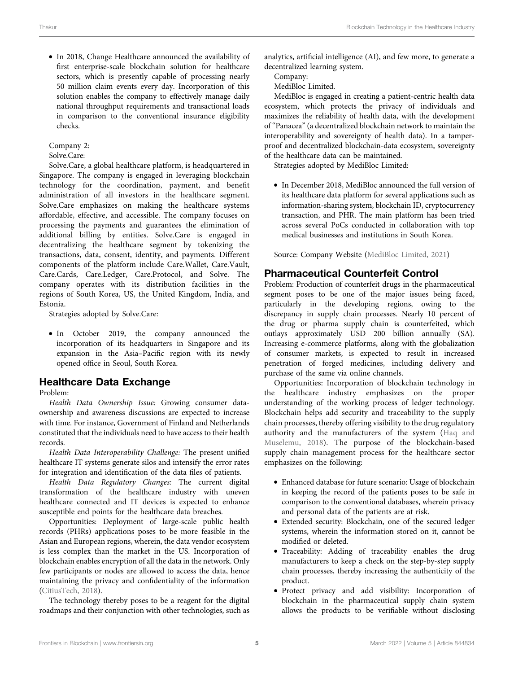• In 2018, Change Healthcare announced the availability of first enterprise-scale blockchain solution for healthcare sectors, which is presently capable of processing nearly 50 million claim events every day. Incorporation of this solution enables the company to effectively manage daily national throughput requirements and transactional loads in comparison to the conventional insurance eligibility checks.

Company 2:

Solve.Care:

Solve.Care, a global healthcare platform, is headquartered in Singapore. The company is engaged in leveraging blockchain technology for the coordination, payment, and benefit administration of all investors in the healthcare segment. Solve.Care emphasizes on making the healthcare systems affordable, effective, and accessible. The company focuses on processing the payments and guarantees the elimination of additional billing by entities. Solve.Care is engaged in decentralizing the healthcare segment by tokenizing the transactions, data, consent, identity, and payments. Different components of the platform include Care.Wallet, Care.Vault, Care.Cards, Care.Ledger, Care.Protocol, and Solve. The company operates with its distribution facilities in the regions of South Korea, US, the United Kingdom, India, and Estonia.

Strategies adopted by Solve.Care:

• In October 2019, the company announced the incorporation of its headquarters in Singapore and its expansion in the Asia–Pacific region with its newly opened office in Seoul, South Korea.

### Healthcare Data Exchange

#### Problem:

Health Data Ownership Issue: Growing consumer dataownership and awareness discussions are expected to increase with time. For instance, Government of Finland and Netherlands constituted that the individuals need to have access to their health records.

Health Data Interoperability Challenge: The present unified healthcare IT systems generate silos and intensify the error rates for integration and identification of the data files of patients.

Health Data Regulatory Changes: The current digital transformation of the healthcare industry with uneven healthcare connected and IT devices is expected to enhance susceptible end points for the healthcare data breaches.

Opportunities: Deployment of large-scale public health records (PHRs) applications poses to be more feasible in the Asian and European regions, wherein, the data vendor ecosystem is less complex than the market in the US. Incorporation of blockchain enables encryption of all the data in the network. Only few participants or nodes are allowed to access the data, hence maintaining the privacy and confidentiality of the information ([CitiusTech, 2018](#page-6-11)).

The technology thereby poses to be a reagent for the digital roadmaps and their conjunction with other technologies, such as

analytics, artificial intelligence (AI), and few more, to generate a decentralized learning system.

Company:

MediBloc Limited.

MediBloc is engaged in creating a patient-centric health data ecosystem, which protects the privacy of individuals and maximizes the reliability of health data, with the development of"Panacea" (a decentralized blockchain network to maintain the interoperability and sovereignty of health data). In a tamperproof and decentralized blockchain-data ecosystem, sovereignty of the healthcare data can be maintained.

Strategies adopted by MediBloc Limited:

• In December 2018, MediBloc announced the full version of its healthcare data platform for several applications such as information-sharing system, blockchain ID, cryptocurrency transaction, and PHR. The main platform has been tried across several PoCs conducted in collaboration with top medical businesses and institutions in South Korea.

Source: Company Website [\(MediBloc Limited, 2021\)](#page-7-5)

# Pharmaceutical Counterfeit Control

Problem: Production of counterfeit drugs in the pharmaceutical segment poses to be one of the major issues being faced, particularly in the developing regions, owing to the discrepancy in supply chain processes. Nearly 10 percent of the drug or pharma supply chain is counterfeited, which outlays approximately USD 200 billion annually (SA). Increasing e-commerce platforms, along with the globalization of consumer markets, is expected to result in increased penetration of forged medicines, including delivery and purchase of the same via online channels.

Opportunities: Incorporation of blockchain technology in the healthcare industry emphasizes on the proper understanding of the working process of ledger technology. Blockchain helps add security and traceability to the supply chain processes, thereby offering visibility to the drug regulatory authority and the manufacturers of the system [\(Haq and](#page-6-12) [Muselemu, 2018\)](#page-6-12). The purpose of the blockchain-based supply chain management process for the healthcare sector emphasizes on the following:

- Enhanced database for future scenario: Usage of blockchain in keeping the record of the patients poses to be safe in comparison to the conventional databases, wherein privacy and personal data of the patients are at risk.
- Extended security: Blockchain, one of the secured ledger systems, wherein the information stored on it, cannot be modified or deleted.
- Traceability: Adding of traceability enables the drug manufacturers to keep a check on the step-by-step supply chain processes, thereby increasing the authenticity of the product.
- Protect privacy and add visibility: Incorporation of blockchain in the pharmaceutical supply chain system allows the products to be verifiable without disclosing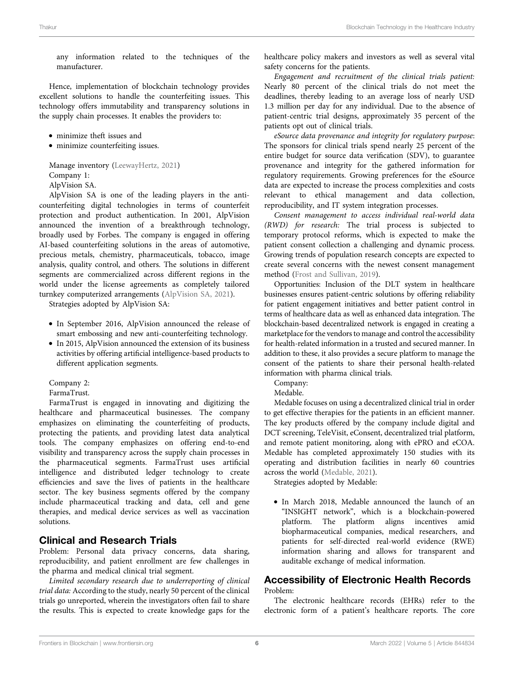any information related to the techniques of the manufacturer.

Hence, implementation of blockchain technology provides excellent solutions to handle the counterfeiting issues. This technology offers immutability and transparency solutions in the supply chain processes. It enables the providers to:

- minimize theft issues and
- minimize counterfeiting issues.

Manage inventory ([LeewayHertz, 2021](#page-7-6)) Company 1: AlpVision SA.

AlpVision SA is one of the leading players in the anticounterfeiting digital technologies in terms of counterfeit protection and product authentication. In 2001, AlpVision announced the invention of a breakthrough technology, broadly used by Forbes. The company is engaged in offering AI-based counterfeiting solutions in the areas of automotive, precious metals, chemistry, pharmaceuticals, tobacco, image analysis, quality control, and others. The solutions in different segments are commercialized across different regions in the world under the license agreements as completely tailored turnkey computerized arrangements ([AlpVision SA, 2021\)](#page-6-13).

Strategies adopted by AlpVision SA:

- In September 2016, AlpVision announced the release of smart embossing and new anti-counterfeiting technology.
- In 2015, AlpVision announced the extension of its business activities by offering artificial intelligence-based products to different application segments.

Company 2:

FarmaTrust.

FarmaTrust is engaged in innovating and digitizing the healthcare and pharmaceutical businesses. The company emphasizes on eliminating the counterfeiting of products, protecting the patients, and providing latest data analytical tools. The company emphasizes on offering end-to-end visibility and transparency across the supply chain processes in the pharmaceutical segments. FarmaTrust uses artificial intelligence and distributed ledger technology to create efficiencies and save the lives of patients in the healthcare sector. The key business segments offered by the company include pharmaceutical tracking and data, cell and gene therapies, and medical device services as well as vaccination solutions.

### Clinical and Research Trials

Problem: Personal data privacy concerns, data sharing, reproducibility, and patient enrollment are few challenges in the pharma and medical clinical trial segment.

Limited secondary research due to underreporting of clinical trial data: According to the study, nearly 50 percent of the clinical trials go unreported, wherein the investigators often fail to share the results. This is expected to create knowledge gaps for the

healthcare policy makers and investors as well as several vital safety concerns for the patients.

Engagement and recruitment of the clinical trials patient: Nearly 80 percent of the clinical trials do not meet the deadlines, thereby leading to an average loss of nearly USD 1.3 million per day for any individual. Due to the absence of patient-centric trial designs, approximately 35 percent of the patients opt out of clinical trials.

eSource data provenance and integrity for regulatory purpose: The sponsors for clinical trials spend nearly 25 percent of the entire budget for source data verification (SDV), to guarantee provenance and integrity for the gathered information for regulatory requirements. Growing preferences for the eSource data are expected to increase the process complexities and costs relevant to ethical management and data collection, reproducibility, and IT system integration processes.

Consent management to access individual real-world data (RWD) for research: The trial process is subjected to temporary protocol reforms, which is expected to make the patient consent collection a challenging and dynamic process. Growing trends of population research concepts are expected to create several concerns with the newest consent management method ([Frost and Sullivan, 2019](#page-6-14)).

Opportunities: Inclusion of the DLT system in healthcare businesses ensures patient-centric solutions by offering reliability for patient engagement initiatives and better patient control in terms of healthcare data as well as enhanced data integration. The blockchain-based decentralized network is engaged in creating a marketplace for the vendors to manage and control the accessibility for health-related information in a trusted and secured manner. In addition to these, it also provides a secure platform to manage the consent of the patients to share their personal health-related information with pharma clinical trials.

Company:

Medable.

Medable focuses on using a decentralized clinical trial in order to get effective therapies for the patients in an efficient manner. The key products offered by the company include digital and DCT screening, TeleVisit, eConsent, decentralized trial platform, and remote patient monitoring, along with ePRO and eCOA. Medable has completed approximately 150 studies with its operating and distribution facilities in nearly 60 countries across the world ([Medable, 2021](#page-7-7)).

Strategies adopted by Medable:

• In March 2018, Medable announced the launch of an "INSIGHT network", which is a blockchain-powered platform. The platform aligns incentives amid biopharmaceutical companies, medical researchers, and patients for self-directed real-world evidence (RWE) information sharing and allows for transparent and auditable exchange of medical information.

# Accessibility of Electronic Health Records

Problem:

The electronic healthcare records (EHRs) refer to the electronic form of a patient's healthcare reports. The core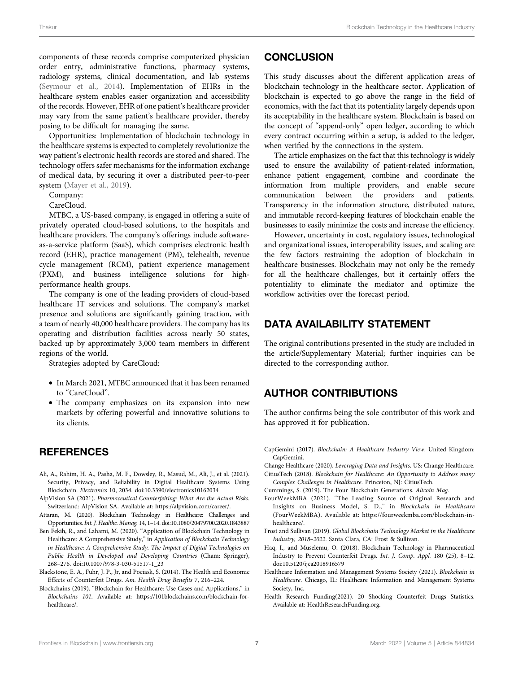components of these records comprise computerized physician order entry, administrative functions, pharmacy systems, radiology systems, clinical documentation, and lab systems ([Seymour et al., 2014\)](#page-7-8). Implementation of EHRs in the healthcare system enables easier organization and accessibility of the records. However, EHR of one patient's healthcare provider may vary from the same patient's healthcare provider, thereby posing to be difficult for managing the same.

Opportunities: Implementation of blockchain technology in the healthcare systems is expected to completely revolutionize the way patient's electronic health records are stored and shared. The technology offers safer mechanisms for the information exchange of medical data, by securing it over a distributed peer-to-peer system [\(Mayer et al., 2019\)](#page-7-9).

Company:

CareCloud.

MTBC, a US-based company, is engaged in offering a suite of privately operated cloud-based solutions, to the hospitals and healthcare providers. The company's offerings include softwareas-a-service platform (SaaS), which comprises electronic health record (EHR), practice management (PM), telehealth, revenue cycle management (RCM), patient experience management (PXM), and business intelligence solutions for highperformance health groups.

The company is one of the leading providers of cloud-based healthcare IT services and solutions. The company's market presence and solutions are significantly gaining traction, with a team of nearly 40,000 healthcare providers. The company has its operating and distribution facilities across nearly 50 states, backed up by approximately 3,000 team members in different regions of the world.

Strategies adopted by CareCloud:

- In March 2021, MTBC announced that it has been renamed to "CareCloud".
- The company emphasizes on its expansion into new markets by offering powerful and innovative solutions to its clients.

### **REFERENCES**

- <span id="page-6-7"></span>Ali, A., Rahim, H. A., Pasha, M. F., Dowsley, R., Masud, M., Ali, J., et al. (2021). Security, Privacy, and Reliability in Digital Healthcare Systems Using Blockchain. Electronics 10, 2034. doi[:10.3390/electronics10162034](https://doi.org/10.3390/electronics10162034)
- <span id="page-6-13"></span>AlpVision SA (2021). Pharmaceutical Counterfeiting: What Are the Actual Risks. Switzerland: AlpVision SA. Available at: [https://alpvision.com/career/.](https://alpvision.com/career/)
- <span id="page-6-9"></span>Attaran, M. (2020). Blockchain Technology in Healthcare: Challenges and Opportunities.Int. J. Healthc. Manag. 14, 1–14. doi[:10.1080/20479700.2020.1843887](https://doi.org/10.1080/20479700.2020.1843887)
- <span id="page-6-3"></span>Ben Fekih, R., and Lahami, M. (2020). "Application of Blockchain Technology in Healthcare: A Comprehensive Study," in Application of Blockchain Technology in Healthcare: A Comprehensive Study. The Impact of Digital Technologies on Public Health in Developed and Developing Countries (Cham: Springer), 268–276. doi:[10.1007/978-3-030-51517-1\\_23](https://doi.org/10.1007/978-3-030-51517-1_23)
- <span id="page-6-5"></span>Blackstone, E. A., Fuhr, J. P., Jr, and Pociask, S. (2014). The Health and Economic Effects of Counterfeit Drugs. Am. Health Drug Benefits 7, 216–224.
- <span id="page-6-8"></span>Blockchains (2019). "Blockchain for Healthcare: Use Cases and Applications," in Blockchains 101. Available at: [https://101blockchains.com/blockchain-for](https://101blockchains.com/blockchain-for-healthcare/)[healthcare/](https://101blockchains.com/blockchain-for-healthcare/).

#### **CONCLUSION**

This study discusses about the different application areas of blockchain technology in the healthcare sector. Application of blockchain is expected to go above the range in the field of economics, with the fact that its potentiality largely depends upon its acceptability in the healthcare system. Blockchain is based on the concept of "append-only" open ledger, according to which every contract occurring within a setup, is added to the ledger, when verified by the connections in the system.

The article emphasizes on the fact that this technology is widely used to ensure the availability of patient-related information, enhance patient engagement, combine and coordinate the information from multiple providers, and enable secure communication between the providers and patients. Transparency in the information structure, distributed nature, and immutable record-keeping features of blockchain enable the businesses to easily minimize the costs and increase the efficiency.

However, uncertainty in cost, regulatory issues, technological and organizational issues, interoperability issues, and scaling are the few factors restraining the adoption of blockchain in healthcare businesses. Blockchain may not only be the remedy for all the healthcare challenges, but it certainly offers the potentiality to eliminate the mediator and optimize the workflow activities over the forecast period.

### DATA AVAILABILITY STATEMENT

The original contributions presented in the study are included in the article/Supplementary Material; further inquiries can be directed to the corresponding author.

### AUTHOR CONTRIBUTIONS

The author confirms being the sole contributor of this work and has approved it for publication.

- <span id="page-6-0"></span>CapGemini (2017). Blockchain: A Healthcare Industry View. United Kingdom: CapGemini.
- <span id="page-6-11"></span><span id="page-6-10"></span>Change Healthcare (2020). Leveraging Data and Insights. US: Change Healthcare. CitiusTech (2018). Blockchain for Healthcare: An Opportunity to Address many
- Complex Challenges in Healthcare. Princeton, NJ: CitiusTech.
- <span id="page-6-4"></span>Cummings, S. (2019). The Four Blockchain Generations. Altcoin Mag.
- <span id="page-6-1"></span>FourWeekMBA (2021). "The Leading Source of Original Research and Insights on Business Model, S. D.," in Blockchain in Healthcare (FourWeekMBA). Available at: [https://fourweekmba.com/blockchain-in](https://fourweekmba.com/blockchain-in-healthcare/)[healthcare/](https://fourweekmba.com/blockchain-in-healthcare/).
- <span id="page-6-14"></span>Frost and Sullivan (2019). Global Blockchain Technology Market in the Healthcare Industry, 2018–2022. Santa Clara, CA: Frost & Sullivan.
- <span id="page-6-12"></span>Haq, I., and Muselemu, O. (2018). Blockchain Technology in Pharmaceutical Industry to Prevent Counterfeit Drugs. Int. J. Comp. Appl. 180 (25), 8–12. doi[:10.5120/ijca2018916579](https://doi.org/10.5120/ijca2018916579)
- <span id="page-6-2"></span>Healthcare Information and Management Systems Society (2021). Blockchain in Healthcare. Chicago, IL: Healthcare Information and Management Systems Society, Inc.
- <span id="page-6-6"></span>Health Research Funding(2021). 20 Shocking Counterfeit Drugs Statistics. Available at: [HealthResearchFunding.org](http://HealthResearchFunding.org).